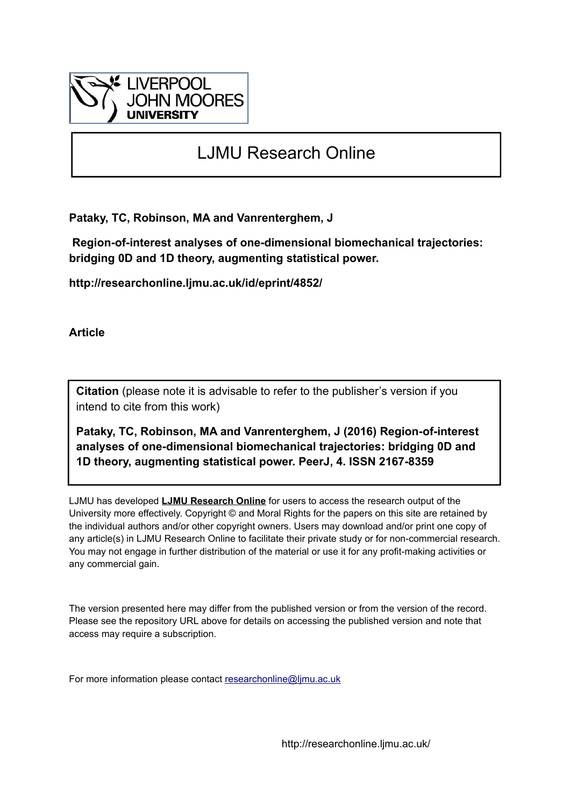

# LJMU Research Online

**Pataky, TC, Robinson, MA and Vanrenterghem, J**

 **Region-of-interest analyses of one-dimensional biomechanical trajectories: bridging 0D and 1D theory, augmenting statistical power.**

**http://researchonline.ljmu.ac.uk/id/eprint/4852/**

**Article**

**Citation** (please note it is advisable to refer to the publisher's version if you intend to cite from this work)

**Pataky, TC, Robinson, MA and Vanrenterghem, J (2016) Region-of-interest analyses of one-dimensional biomechanical trajectories: bridging 0D and 1D theory, augmenting statistical power. PeerJ, 4. ISSN 2167-8359** 

LJMU has developed **[LJMU Research Online](http://researchonline.ljmu.ac.uk/)** for users to access the research output of the University more effectively. Copyright © and Moral Rights for the papers on this site are retained by the individual authors and/or other copyright owners. Users may download and/or print one copy of any article(s) in LJMU Research Online to facilitate their private study or for non-commercial research. You may not engage in further distribution of the material or use it for any profit-making activities or any commercial gain.

The version presented here may differ from the published version or from the version of the record. Please see the repository URL above for details on accessing the published version and note that access may require a subscription.

For more information please contact [researchonline@ljmu.ac.uk](mailto:researchonline@ljmu.ac.uk)

http://researchonline.ljmu.ac.uk/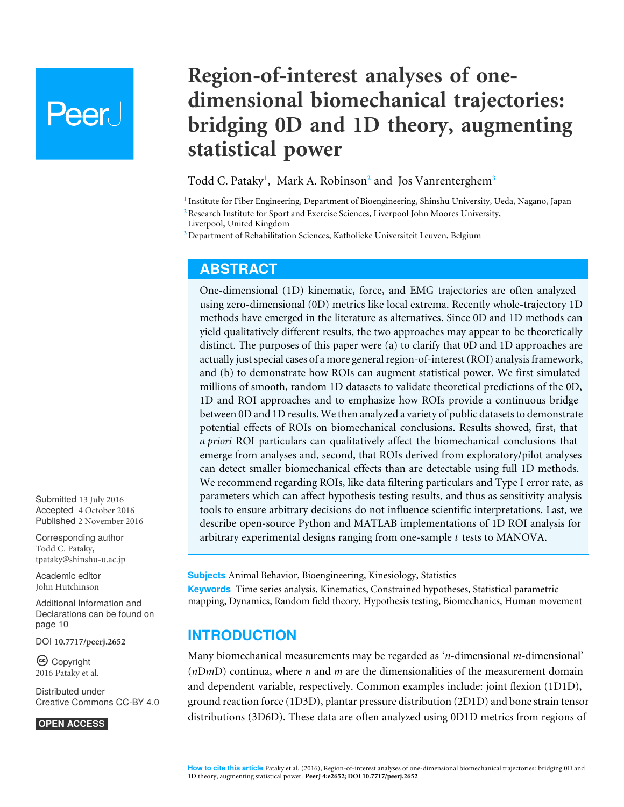# Peer l

**Region-of-interest analyses of onedimensional biomechanical trajectories: bridging 0D and 1D theory, augmenting statistical power**

#### <span id="page-1-5"></span><span id="page-1-4"></span><span id="page-1-3"></span>Todd C. Pataky**[1](#page-1-0)** , Mark A. Robinson**[2](#page-1-1)** and Jos Vanrenterghem**[3](#page-1-2)**

<span id="page-1-0"></span>**1** Institute for Fiber Engineering, Department of Bioengineering, Shinshu University, Ueda, Nagano, Japan

<span id="page-1-2"></span>**<sup>3</sup>** Department of Rehabilitation Sciences, Katholieke Universiteit Leuven, Belgium

## **ABSTRACT**

One-dimensional (1D) kinematic, force, and EMG trajectories are often analyzed using zero-dimensional (0D) metrics like local extrema. Recently whole-trajectory 1D methods have emerged in the literature as alternatives. Since 0D and 1D methods can yield qualitatively different results, the two approaches may appear to be theoretically distinct. The purposes of this paper were (a) to clarify that 0D and 1D approaches are actually just special cases of a more general region-of-interest (ROI) analysis framework, and (b) to demonstrate how ROIs can augment statistical power. We first simulated millions of smooth, random 1D datasets to validate theoretical predictions of the 0D, 1D and ROI approaches and to emphasize how ROIs provide a continuous bridge between 0D and 1D results. We then analyzed a variety of public datasets to demonstrate potential effects of ROIs on biomechanical conclusions. Results showed, first, that *a priori* ROI particulars can qualitatively affect the biomechanical conclusions that emerge from analyses and, second, that ROIs derived from exploratory/pilot analyses can detect smaller biomechanical effects than are detectable using full 1D methods. We recommend regarding ROIs, like data filtering particulars and Type I error rate, as parameters which can affect hypothesis testing results, and thus as sensitivity analysis tools to ensure arbitrary decisions do not influence scientific interpretations. Last, we describe open-source Python and MATLAB implementations of 1D ROI analysis for arbitrary experimental designs ranging from one-sample *t* tests to MANOVA.

**Subjects** Animal Behavior, Bioengineering, Kinesiology, Statistics **Keywords** Time series analysis, Kinematics, Constrained hypotheses, Statistical parametric mapping, Dynamics, Random field theory, Hypothesis testing, Biomechanics, Human movement

## **INTRODUCTION**

Many biomechanical measurements may be regarded as '*n*-dimensional *m*-dimensional' (*n*D*m*D) continua, where *n* and *m* are the dimensionalities of the measurement domain and dependent variable, respectively. Common examples include: joint flexion (1D1D), ground reaction force (1D3D), plantar pressure distribution (2D1D) and bone strain tensor distributions (3D6D). These data are often analyzed using 0D1D metrics from regions of

Submitted 13 July 2016 Accepted 4 October 2016 Published 2 November 2016

Corresponding author Todd C. Pataky, [tpataky@shinshu-u.ac.jp](mailto:tpataky@shinshu-u.ac.jp)

[Academic editor](https://peerj.com/academic-boards/editors/) [John Hutchinson](https://peerj.com/academic-boards/editors/)

[Additional Information and](#page-10-0) [Declarations can be found on](#page-10-0) [page 10](#page-10-0)

DOI **[10.7717/peerj.2652](http://dx.doi.org/10.7717/peerj.2652)**

Copyright 2016 Pataky et al.

[Distributed under](http://creativecommons.org/licenses/by/4.0/) [Creative Commons CC-BY 4.0](http://creativecommons.org/licenses/by/4.0/)

#### **OPEN ACCESS**

<span id="page-1-1"></span>**<sup>2</sup>** Research Institute for Sport and Exercise Sciences, Liverpool John Moores University, Liverpool, United Kingdom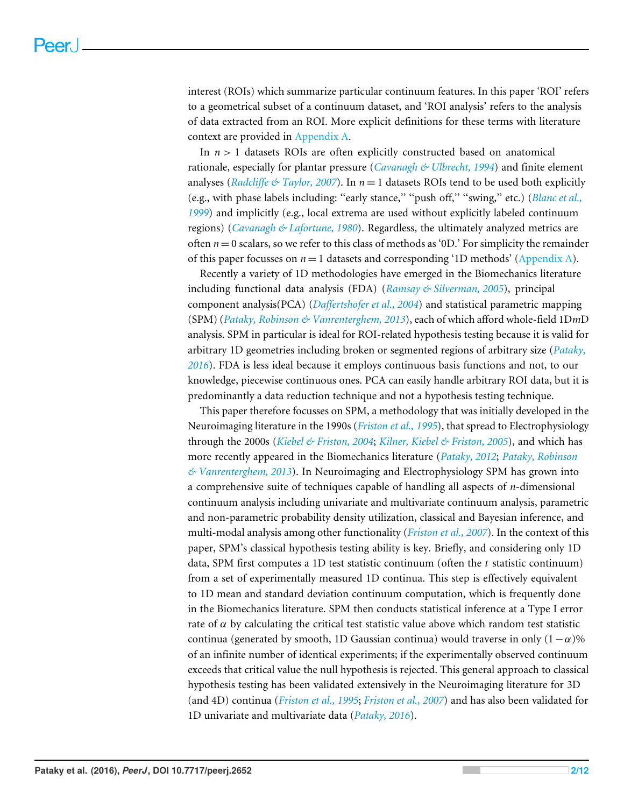interest (ROIs) which summarize particular continuum features. In this paper 'ROI' refers to a geometrical subset of a continuum dataset, and 'ROI analysis' refers to the analysis of data extracted from an ROI. More explicit definitions for these terms with literature context are provided in [Appendix A.](http://dx.doi.org/10.7717/peerj.2652/supp-1)

In  $n > 1$  datasets ROIs are often explicitly constructed based on anatomical rationale, especially for plantar pressure (*[Cavanagh & Ulbrecht, 1994](#page-11-0)*) and finite element analyses (*Radcliffe*  $\&$  *Taylor, 2007*). In  $n = 1$  datasets ROIs tend to be used both explicitly (e.g., with phase labels including: ''early stance,'' ''push off,'' ''swing,'' etc.) (*[Blanc et al.,](#page-11-1) [1999](#page-11-1)*) and implicitly (e.g., local extrema are used without explicitly labeled continuum regions) (*[Cavanagh & Lafortune, 1980](#page-11-2)*). Regardless, the ultimately analyzed metrics are often  $n = 0$  scalars, so we refer to this class of methods as '0D.' For simplicity the remainder of this paper focusses on  $n = 1$  datasets and corresponding '1D methods' [\(Appendix A\)](http://dx.doi.org/10.7717/peerj.2652/supp-1).

Recently a variety of 1D methodologies have emerged in the Biomechanics literature including functional data analysis (FDA) (*[Ramsay & Silverman, 2005](#page-12-1)*), principal component analysis(PCA) (*[Daffertshofer et al., 2004](#page-11-3)*) and statistical parametric mapping (SPM) (*[Pataky, Robinson & Vanrenterghem, 2013](#page-12-2)*), each of which afford whole-field 1D*m*D analysis. SPM in particular is ideal for ROI-related hypothesis testing because it is valid for arbitrary 1D geometries including broken or segmented regions of arbitrary size (*[Pataky,](#page-12-3) [2016](#page-12-3)*). FDA is less ideal because it employs continuous basis functions and not, to our knowledge, piecewise continuous ones. PCA can easily handle arbitrary ROI data, but it is predominantly a data reduction technique and not a hypothesis testing technique.

This paper therefore focusses on SPM, a methodology that was initially developed in the Neuroimaging literature in the 1990s (*[Friston et al., 1995](#page-11-4)*), that spread to Electrophysiology through the 2000s (*[Kiebel & Friston, 2004](#page-11-5)*; *[Kilner, Kiebel & Friston, 2005](#page-12-4)*), and which has more recently appeared in the Biomechanics literature (*[Pataky, 2012](#page-12-5)*; *[Pataky, Robinson](#page-12-2) [& Vanrenterghem, 2013](#page-12-2)*). In Neuroimaging and Electrophysiology SPM has grown into a comprehensive suite of techniques capable of handling all aspects of *n*-dimensional continuum analysis including univariate and multivariate continuum analysis, parametric and non-parametric probability density utilization, classical and Bayesian inference, and multi-modal analysis among other functionality (*[Friston et al., 2007](#page-11-6)*). In the context of this paper, SPM's classical hypothesis testing ability is key. Briefly, and considering only 1D data, SPM first computes a 1D test statistic continuum (often the *t* statistic continuum) from a set of experimentally measured 1D continua. This step is effectively equivalent to 1D mean and standard deviation continuum computation, which is frequently done in the Biomechanics literature. SPM then conducts statistical inference at a Type I error rate of  $\alpha$  by calculating the critical test statistic value above which random test statistic continua (generated by smooth, 1D Gaussian continua) would traverse in only  $(1-\alpha)\%$ of an infinite number of identical experiments; if the experimentally observed continuum exceeds that critical value the null hypothesis is rejected. This general approach to classical hypothesis testing has been validated extensively in the Neuroimaging literature for 3D (and 4D) continua (*[Friston et al., 1995](#page-11-4)*; *[Friston et al., 2007](#page-11-6)*) and has also been validated for 1D univariate and multivariate data (*[Pataky, 2016](#page-12-3)*).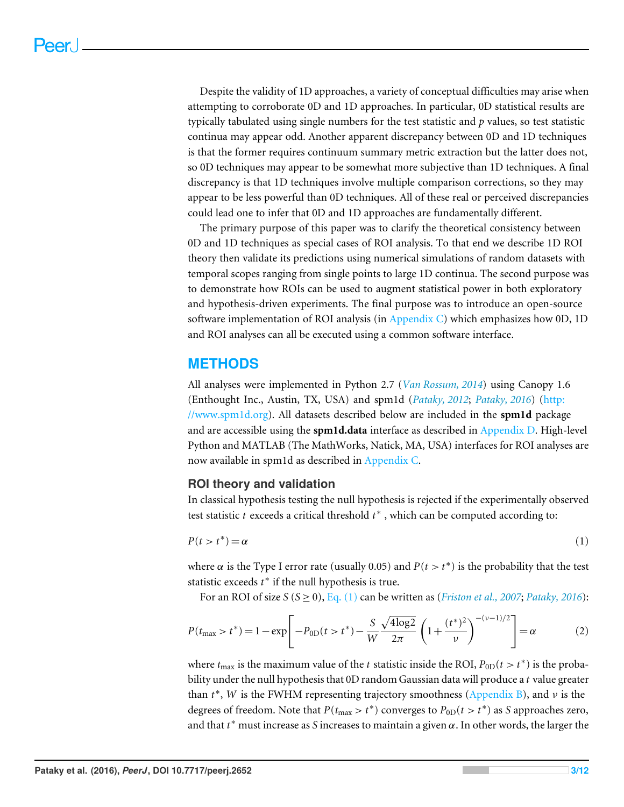Despite the validity of 1D approaches, a variety of conceptual difficulties may arise when attempting to corroborate 0D and 1D approaches. In particular, 0D statistical results are typically tabulated using single numbers for the test statistic and *p* values, so test statistic continua may appear odd. Another apparent discrepancy between 0D and 1D techniques is that the former requires continuum summary metric extraction but the latter does not, so 0D techniques may appear to be somewhat more subjective than 1D techniques. A final discrepancy is that 1D techniques involve multiple comparison corrections, so they may appear to be less powerful than 0D techniques. All of these real or perceived discrepancies could lead one to infer that 0D and 1D approaches are fundamentally different.

The primary purpose of this paper was to clarify the theoretical consistency between 0D and 1D techniques as special cases of ROI analysis. To that end we describe 1D ROI theory then validate its predictions using numerical simulations of random datasets with temporal scopes ranging from single points to large 1D continua. The second purpose was to demonstrate how ROIs can be used to augment statistical power in both exploratory and hypothesis-driven experiments. The final purpose was to introduce an open-source software implementation of ROI analysis (in [Appendix C\)](http://dx.doi.org/10.7717/peerj.2652/supp-1) which emphasizes how 0D, 1D and ROI analyses can all be executed using a common software interface.

## **METHODS**

All analyses were implemented in Python 2.7 (*[Van Rossum, 2014](#page-12-6)*) using Canopy 1.6 (Enthought Inc., Austin, TX, USA) and spm1d (*[Pataky, 2012](#page-12-5)*; *[Pataky, 2016](#page-12-3)*) [\(http:](http://www.spm1d.org) [//www.spm1d.org\)](http://www.spm1d.org). All datasets described below are included in the **spm1d** package and are accessible using the **spm1d.data** interface as described in [Appendix D.](http://dx.doi.org/10.7717/peerj.2652/supp-1) High-level Python and MATLAB (The MathWorks, Natick, MA, USA) interfaces for ROI analyses are now available in spm1d as described in [Appendix C.](http://dx.doi.org/10.7717/peerj.2652/supp-1)

#### **ROI theory and validation**

In classical hypothesis testing the null hypothesis is rejected if the experimentally observed test statistic *t* exceeds a critical threshold *t* ∗ , which can be computed according to:

<span id="page-3-0"></span>
$$
P(t > t^*) = \alpha \tag{1}
$$

where  $\alpha$  is the Type I error rate (usually 0.05) and  $P(t > t^*)$  is the probability that the test statistic exceeds *t* ∗ if the null hypothesis is true.

For an ROI of size *S* (*S* ≥ 0), [Eq. \(1\)](#page-3-0) can be written as (*[Friston et al., 2007](#page-11-6)*; *[Pataky, 2016](#page-12-3)*):

<span id="page-3-1"></span>
$$
P(t_{\max} > t^*) = 1 - \exp\left[-P_{0D}(t > t^*) - \frac{S}{W} \frac{\sqrt{4\log 2}}{2\pi} \left(1 + \frac{(t^*)^2}{\nu}\right)^{-(\nu - 1)/2}\right] = \alpha\tag{2}
$$

where  $t_{\text{max}}$  is the maximum value of the *t* statistic inside the ROI,  $P_{0D}(t > t^*)$  is the probability under the null hypothesis that 0D random Gaussian data will produce a *t* value greater than *t* ∗ , *W* is the FWHM representing trajectory smoothness [\(Appendix B\)](http://dx.doi.org/10.7717/peerj.2652/supp-1), and ν is the degrees of freedom. Note that  $P(t_{\text{max}} > t^*)$  converges to  $P_{0D}(t > t^*)$  as *S* approaches zero, and that *t* <sup>∗</sup> must increase as *S* increases to maintain a given α. In other words, the larger the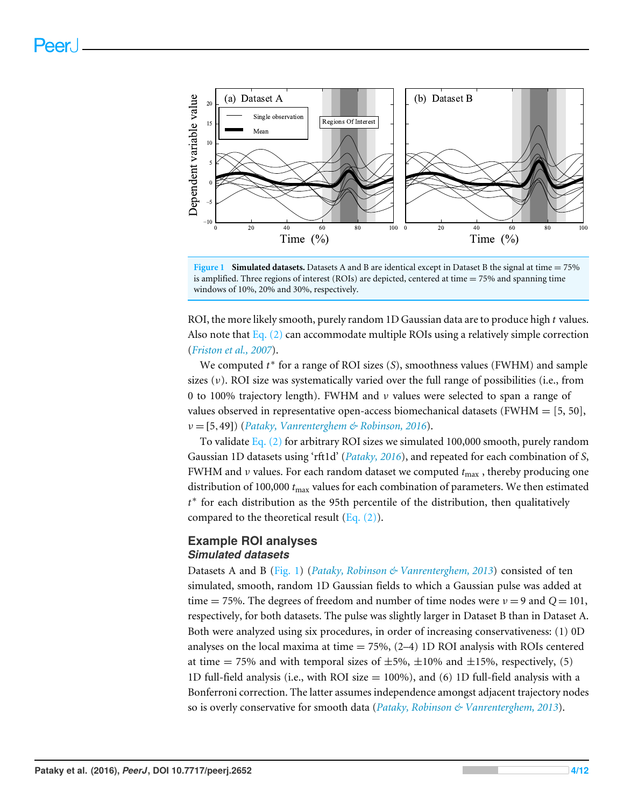<span id="page-4-0"></span>

**Figure 1 Simulated datasets.** Datasets A and B are identical except in Dataset B the signal at time = 75% is amplified. Three regions of interest (ROIs) are depicted, centered at time  $= 75\%$  and spanning time windows of 10%, 20% and 30%, respectively.

ROI, the more likely smooth, purely random 1D Gaussian data are to produce high *t* values. Also note that Eq.  $(2)$  can accommodate multiple ROIs using a relatively simple correction (*[Friston et al., 2007](#page-11-6)*).

We computed  $t^*$  for a range of ROI sizes (S), smoothness values (FWHM) and sample sizes (ν). ROI size was systematically varied over the full range of possibilities (i.e., from 0 to 100% trajectory length). FWHM and ν values were selected to span a range of values observed in representative open-access biomechanical datasets (FWHM  $=$  [5, 50], ν = [5,49]) (*[Pataky, Vanrenterghem & Robinson, 2016](#page-12-7)*).

To validate Eq.  $(2)$  for arbitrary ROI sizes we simulated 100,000 smooth, purely random Gaussian 1D datasets using 'rft1d' (*[Pataky, 2016](#page-12-3)*), and repeated for each combination of *S*, FWHM and  $\nu$  values. For each random dataset we computed  $t_{\text{max}}$ , thereby producing one distribution of 100,000 *t*max values for each combination of parameters. We then estimated *t* ∗ for each distribution as the 95th percentile of the distribution, then qualitatively compared to the theoretical result  $(Eq. (2))$ .

#### **Example ROI analyses** *Simulated datasets*

Datasets A and B [\(Fig. 1\)](#page-4-0) (*[Pataky, Robinson & Vanrenterghem, 2013](#page-12-2)*) consisted of ten simulated, smooth, random 1D Gaussian fields to which a Gaussian pulse was added at time = 75%. The degrees of freedom and number of time nodes were  $v = 9$  and  $Q = 101$ , respectively, for both datasets. The pulse was slightly larger in Dataset B than in Dataset A. Both were analyzed using six procedures, in order of increasing conservativeness: (1) 0D analyses on the local maxima at time  $= 75\%$ ,  $(2-4)$  1D ROI analysis with ROIs centered at time = 75% and with temporal sizes of  $\pm 5\%$ ,  $\pm 10\%$  and  $\pm 15\%$ , respectively, (5) 1D full-field analysis (i.e., with ROI size = 100%), and (6) 1D full-field analysis with a Bonferroni correction. The latter assumes independence amongst adjacent trajectory nodes so is overly conservative for smooth data (*[Pataky, Robinson & Vanrenterghem, 2013](#page-12-2)*).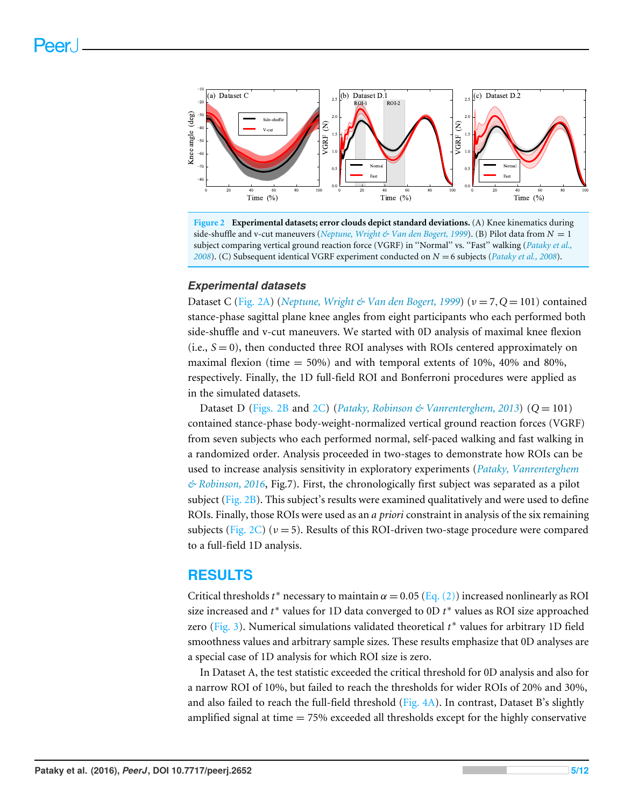<span id="page-5-0"></span>

**Figure 2 Experimental datasets; error clouds depict standard deviations.** (A) Knee kinematics during side-shuffle and v-cut maneuvers (*[Neptune, Wright & Van den Bogert, 1999](#page-12-8)*). (B) Pilot data from *N* = 1 subject comparing vertical ground reaction force (VGRF) in ''Normal'' vs. ''Fast'' walking (*[Pataky et al.,](#page-12-9) [2008](#page-12-9)*). (C) Subsequent identical VGRF experiment conducted on *N* = 6 subjects (*[Pataky et al.,](#page-12-9) [2008](#page-12-9)*).

#### *Experimental datasets*

Dataset C [\(Fig. 2A\)](#page-5-0) (*[Neptune, Wright & Van den Bogert, 1999](#page-12-8)*) (ν = 7,*Q* = 101) contained stance-phase sagittal plane knee angles from eight participants who each performed both side-shuffle and v-cut maneuvers. We started with 0D analysis of maximal knee flexion (i.e., *S* = 0), then conducted three ROI analyses with ROIs centered approximately on maximal flexion (time  $= 50\%$ ) and with temporal extents of 10%, 40% and 80%, respectively. Finally, the 1D full-field ROI and Bonferroni procedures were applied as in the simulated datasets.

Dataset D [\(Figs. 2B](#page-5-0) and [2C\)](#page-5-0) (*[Pataky, Robinson & Vanrenterghem, 2013](#page-12-2)*) (*Q* = 101) contained stance-phase body-weight-normalized vertical ground reaction forces (VGRF) from seven subjects who each performed normal, self-paced walking and fast walking in a randomized order. Analysis proceeded in two-stages to demonstrate how ROIs can be used to increase analysis sensitivity in exploratory experiments (*[Pataky, Vanrenterghem](#page-12-7) [& Robinson, 2016](#page-12-7)*, Fig.7). First, the chronologically first subject was separated as a pilot subject ( $Fig. 2B$ ). This subject's results were examined qualitatively and were used to define ROIs. Finally, those ROIs were used as an *a priori* constraint in analysis of the six remaining subjects [\(Fig. 2C\)](#page-5-0) ( $\nu = 5$ ). Results of this ROI-driven two-stage procedure were compared to a full-field 1D analysis.

## **RESULTS**

Critical thresholds  $t^*$  necessary to maintain  $\alpha = 0.05$  [\(Eq. \(2\)\)](#page-3-1) increased nonlinearly as ROI size increased and *t* ∗ values for 1D data converged to 0D *t* ∗ values as ROI size approached zero [\(Fig. 3\)](#page-6-0). Numerical simulations validated theoretical *t*<sup>∗</sup> values for arbitrary 1D field smoothness values and arbitrary sample sizes. These results emphasize that 0D analyses are a special case of 1D analysis for which ROI size is zero.

In Dataset A, the test statistic exceeded the critical threshold for 0D analysis and also for a narrow ROI of 10%, but failed to reach the thresholds for wider ROIs of 20% and 30%, and also failed to reach the full-field threshold [\(Fig. 4A\)](#page-6-1). In contrast, Dataset B's slightly amplified signal at time  $= 75\%$  exceeded all thresholds except for the highly conservative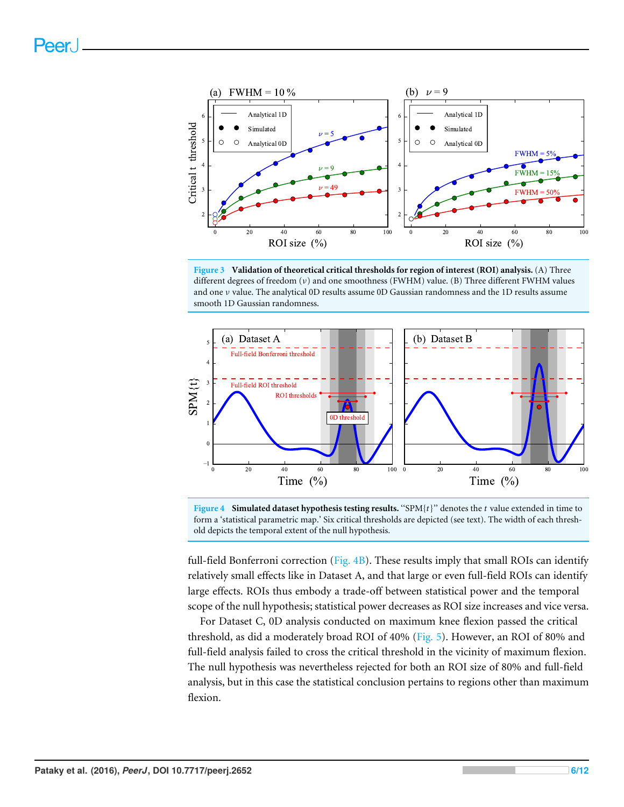<span id="page-6-0"></span>

**Figure 3 Validation of theoretical critical thresholds for region of interest (ROI) analysis.** (A) Three different degrees of freedom (ν) and one smoothness (FWHM) value. (B) Three different FWHM values and one ν value. The analytical 0D results assume 0D Gaussian randomness and the 1D results assume smooth 1D Gaussian randomness.

<span id="page-6-1"></span>



full-field Bonferroni correction ( $Fig. 4B$ ). These results imply that small ROIs can identify relatively small effects like in Dataset A, and that large or even full-field ROIs can identify large effects. ROIs thus embody a trade-off between statistical power and the temporal scope of the null hypothesis; statistical power decreases as ROI size increases and vice versa.

For Dataset C, 0D analysis conducted on maximum knee flexion passed the critical threshold, as did a moderately broad ROI of 40% [\(Fig. 5\)](#page-7-0). However, an ROI of 80% and full-field analysis failed to cross the critical threshold in the vicinity of maximum flexion. The null hypothesis was nevertheless rejected for both an ROI size of 80% and full-field analysis, but in this case the statistical conclusion pertains to regions other than maximum flexion.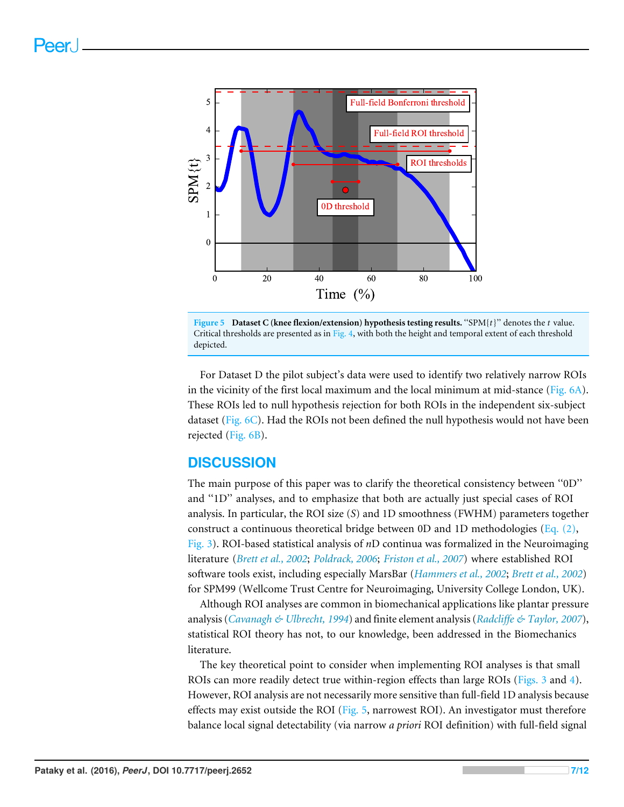<span id="page-7-0"></span>



For Dataset D the pilot subject's data were used to identify two relatively narrow ROIs in the vicinity of the first local maximum and the local minimum at mid-stance [\(Fig. 6A\)](#page-8-0). These ROIs led to null hypothesis rejection for both ROIs in the independent six-subject dataset [\(Fig. 6C\)](#page-8-0). Had the ROIs not been defined the null hypothesis would not have been rejected [\(Fig. 6B\)](#page-8-0).

## **DISCUSSION**

The main purpose of this paper was to clarify the theoretical consistency between ''0D'' and ''1D'' analyses, and to emphasize that both are actually just special cases of ROI analysis. In particular, the ROI size (*S*) and 1D smoothness (FWHM) parameters together construct a continuous theoretical bridge between 0D and 1D methodologies (Eq.  $(2)$ , [Fig. 3\)](#page-6-0). ROI-based statistical analysis of *n*D continua was formalized in the Neuroimaging literature (*[Brett et al., 2002](#page-11-7)*; *[Poldrack, 2006](#page-12-10)*; *[Friston et al., 2007](#page-11-6)*) where established ROI software tools exist, including especially MarsBar (*[Hammers et al., 2002](#page-11-8)*; *[Brett et al., 2002](#page-11-7)*) for SPM99 (Wellcome Trust Centre for Neuroimaging, University College London, UK).

Although ROI analyses are common in biomechanical applications like plantar pressure analysis (*[Cavanagh & Ulbrecht, 1994](#page-11-0)*) and finite element analysis (*[Radcliffe & Taylor, 2007](#page-12-0)*), statistical ROI theory has not, to our knowledge, been addressed in the Biomechanics literature.

The key theoretical point to consider when implementing ROI analyses is that small ROIs can more readily detect true within-region effects than large ROIs [\(Figs. 3](#page-6-0) and [4\)](#page-6-1). However, ROI analysis are not necessarily more sensitive than full-field 1D analysis because effects may exist outside the ROI [\(Fig. 5,](#page-7-0) narrowest ROI). An investigator must therefore balance local signal detectability (via narrow *a priori* ROI definition) with full-field signal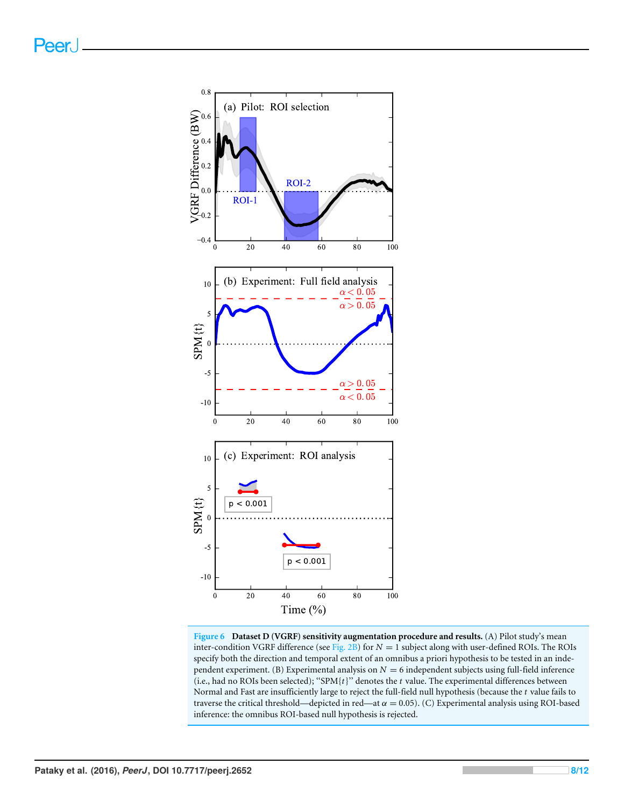<span id="page-8-0"></span>

**Figure 6 Dataset D (VGRF) sensitivity augmentation procedure and results.** (A) Pilot study's mean inter-condition VGRF difference (see [Fig. 2B\)](#page-5-0) for  $N = 1$  subject along with user-defined ROIs. The ROIs specify both the direction and temporal extent of an omnibus a priori hypothesis to be tested in an independent experiment. (B) Experimental analysis on  $N = 6$  independent subjects using full-field inference (i.e., had no ROIs been selected); ''SPM{*t*}'' denotes the *t* value. The experimental differences between Normal and Fast are insufficiently large to reject the full-field null hypothesis (because the *t* value fails to traverse the critical threshold—depicted in red—at  $\alpha = 0.05$ ). (C) Experimental analysis using ROI-based inference: the omnibus ROI-based null hypothesis is rejected.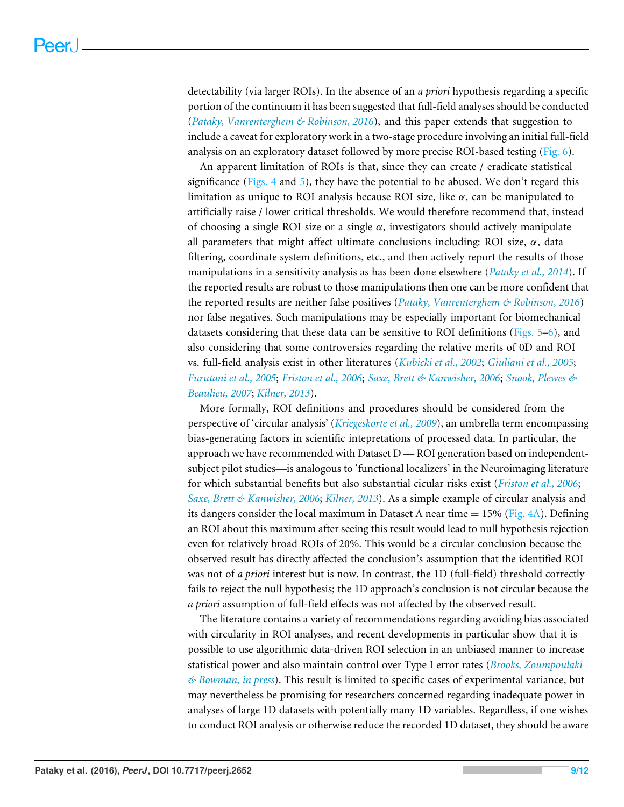detectability (via larger ROIs). In the absence of an *a priori* hypothesis regarding a specific portion of the continuum it has been suggested that full-field analyses should be conducted (*[Pataky, Vanrenterghem & Robinson, 2016](#page-12-7)*), and this paper extends that suggestion to include a caveat for exploratory work in a two-stage procedure involving an initial full-field analysis on an exploratory dataset followed by more precise ROI-based testing  $(Fig, 6)$ .

An apparent limitation of ROIs is that, since they can create / eradicate statistical significance [\(Figs. 4](#page-6-1) and [5\)](#page-7-0), they have the potential to be abused. We don't regard this limitation as unique to ROI analysis because ROI size, like  $\alpha$ , can be manipulated to artificially raise / lower critical thresholds. We would therefore recommend that, instead of choosing a single ROI size or a single  $\alpha$ , investigators should actively manipulate all parameters that might affect ultimate conclusions including: ROI size,  $\alpha$ , data filtering, coordinate system definitions, etc., and then actively report the results of those manipulations in a sensitivity analysis as has been done elsewhere (*[Pataky et al., 2014](#page-12-11)*). If the reported results are robust to those manipulations then one can be more confident that the reported results are neither false positives (*[Pataky, Vanrenterghem & Robinson, 2016](#page-12-7)*) nor false negatives. Such manipulations may be especially important for biomechanical datasets considering that these data can be sensitive to ROI definitions (Figs.  $5-6$ ), and also considering that some controversies regarding the relative merits of 0D and ROI vs. full-field analysis exist in other literatures (*[Kubicki et al., 2002](#page-12-12)*; *[Giuliani et al., 2005](#page-11-9)*; *[Furutani et al., 2005](#page-11-10)*; *[Friston et al., 2006](#page-11-11)*; *[Saxe, Brett & Kanwisher, 2006](#page-12-13)*; *[Snook, Plewes &](#page-12-14) [Beaulieu, 2007](#page-12-14)*; *[Kilner, 2013](#page-12-15)*).

More formally, ROI definitions and procedures should be considered from the perspective of 'circular analysis' (*[Kriegeskorte et al., 2009](#page-12-16)*), an umbrella term encompassing bias-generating factors in scientific intepretations of processed data. In particular, the approach we have recommended with Dataset  $D - ROI$  generation based on independentsubject pilot studies—is analogous to 'functional localizers' in the Neuroimaging literature for which substantial benefits but also substantial cicular risks exist (*[Friston et al., 2006](#page-11-11)*; *[Saxe, Brett & Kanwisher, 2006](#page-12-13)*; *[Kilner, 2013](#page-12-15)*). As a simple example of circular analysis and its dangers consider the local maximum in Dataset A near time  $= 15\%$  [\(Fig. 4A\)](#page-6-1). Defining an ROI about this maximum after seeing this result would lead to null hypothesis rejection even for relatively broad ROIs of 20%. This would be a circular conclusion because the observed result has directly affected the conclusion's assumption that the identified ROI was not of *a priori* interest but is now. In contrast, the 1D (full-field) threshold correctly fails to reject the null hypothesis; the 1D approach's conclusion is not circular because the *a priori* assumption of full-field effects was not affected by the observed result.

The literature contains a variety of recommendations regarding avoiding bias associated with circularity in ROI analyses, and recent developments in particular show that it is possible to use algorithmic data-driven ROI selection in an unbiased manner to increase statistical power and also maintain control over Type I error rates (*[Brooks, Zoumpoulaki](#page-11-12) [& Bowman, in press](#page-11-12)*). This result is limited to specific cases of experimental variance, but may nevertheless be promising for researchers concerned regarding inadequate power in analyses of large 1D datasets with potentially many 1D variables. Regardless, if one wishes to conduct ROI analysis or otherwise reduce the recorded 1D dataset, they should be aware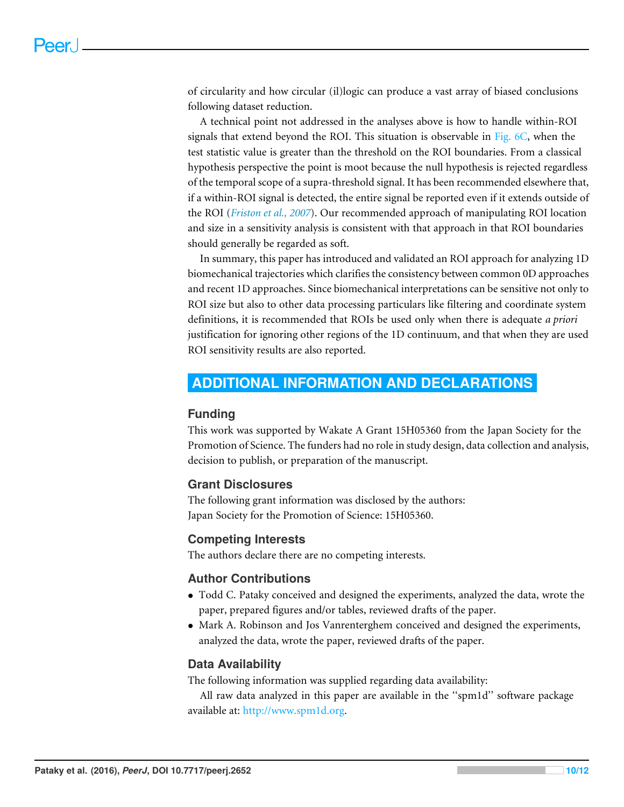of circularity and how circular (il)logic can produce a vast array of biased conclusions following dataset reduction.

A technical point not addressed in the analyses above is how to handle within-ROI signals that extend beyond the ROI. This situation is observable in [Fig. 6C,](#page-8-0) when the test statistic value is greater than the threshold on the ROI boundaries. From a classical hypothesis perspective the point is moot because the null hypothesis is rejected regardless of the temporal scope of a supra-threshold signal. It has been recommended elsewhere that, if a within-ROI signal is detected, the entire signal be reported even if it extends outside of the ROI (*[Friston et al., 2007](#page-11-6)*). Our recommended approach of manipulating ROI location and size in a sensitivity analysis is consistent with that approach in that ROI boundaries should generally be regarded as soft.

In summary, this paper has introduced and validated an ROI approach for analyzing 1D biomechanical trajectories which clarifies the consistency between common 0D approaches and recent 1D approaches. Since biomechanical interpretations can be sensitive not only to ROI size but also to other data processing particulars like filtering and coordinate system definitions, it is recommended that ROIs be used only when there is adequate *a priori* justification for ignoring other regions of the 1D continuum, and that when they are used ROI sensitivity results are also reported.

## <span id="page-10-0"></span>**ADDITIONAL INFORMATION AND DECLARATIONS**

#### **Funding**

This work was supported by Wakate A Grant 15H05360 from the Japan Society for the Promotion of Science. The funders had no role in study design, data collection and analysis, decision to publish, or preparation of the manuscript.

#### **Grant Disclosures**

The following grant information was disclosed by the authors: Japan Society for the Promotion of Science: 15H05360.

#### **Competing Interests**

The authors declare there are no competing interests.

#### **Author Contributions**

- [Todd C. Pataky](#page-1-3) conceived and designed the experiments, analyzed the data, wrote the paper, prepared figures and/or tables, reviewed drafts of the paper.
- [Mark A. Robinson](#page-1-4) and [Jos Vanrenterghem](#page-1-5) conceived and designed the experiments, analyzed the data, wrote the paper, reviewed drafts of the paper.

#### **Data Availability**

The following information was supplied regarding data availability:

All raw data analyzed in this paper are available in the ''spm1d'' software package available at: [http://www.spm1d.org.](http://www.spm1d.org)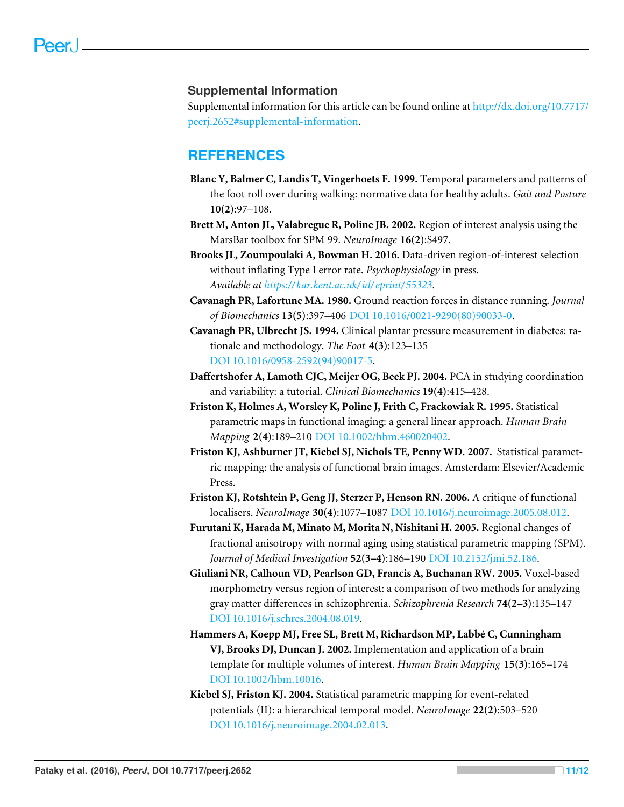#### **Supplemental Information**

Supplemental information for this article can be found online at [http://dx.doi.org/10.7717/](http://dx.doi.org/10.7717/peerj.2652#supplemental-information) [peerj.2652#supplemental-information.](http://dx.doi.org/10.7717/peerj.2652#supplemental-information)

## **REFERENCES**

- <span id="page-11-1"></span>**Blanc Y, Balmer C, Landis T, Vingerhoets F. 1999.** Temporal parameters and patterns of the foot roll over during walking: normative data for healthy adults. *Gait and Posture* **10(2)**:97–108.
- <span id="page-11-7"></span>**Brett M, Anton JL, Valabregue R, Poline JB. 2002.** Region of interest analysis using the MarsBar toolbox for SPM 99. *NeuroImage* **16(2)**:S497.
- <span id="page-11-12"></span>**Brooks JL, Zoumpoulaki A, Bowman H. 2016.** Data-driven region-of-interest selection without inflating Type I error rate. *Psychophysiology* in press. *Available at [https:// kar.kent.ac.uk/id/ eprint/ 55323](https://kar.kent.ac.uk/id/eprint/55323)*.
- <span id="page-11-2"></span>**Cavanagh PR, Lafortune MA. 1980.** Ground reaction forces in distance running. *Journal of Biomechanics* **13(5)**:397–406 [DOI 10.1016/0021-9290\(80\)90033-0.](http://dx.doi.org/10.1016/0021-9290(80)90033-0)
- <span id="page-11-0"></span>**Cavanagh PR, Ulbrecht JS. 1994.** Clinical plantar pressure measurement in diabetes: rationale and methodology. *The Foot* **4(3)**:123–135 [DOI 10.1016/0958-2592\(94\)90017-5.](http://dx.doi.org/10.1016/0958-2592(94)90017-5)
- <span id="page-11-3"></span>**Daffertshofer A, Lamoth CJC, Meijer OG, Beek PJ. 2004.** PCA in studying coordination and variability: a tutorial. *Clinical Biomechanics* **19(4)**:415–428.
- <span id="page-11-4"></span>**Friston K, Holmes A, Worsley K, Poline J, Frith C, Frackowiak R. 1995.** Statistical parametric maps in functional imaging: a general linear approach. *Human Brain Mapping* **2(4)**:189–210 [DOI 10.1002/hbm.460020402.](http://dx.doi.org/10.1002/hbm.460020402)
- <span id="page-11-6"></span>**Friston KJ, Ashburner JT, Kiebel SJ, Nichols TE, Penny WD. 2007.** Statistical parametric mapping: the analysis of functional brain images. Amsterdam: Elsevier/Academic Press.
- <span id="page-11-11"></span>**Friston KJ, Rotshtein P, Geng JJ, Sterzer P, Henson RN. 2006.** A critique of functional localisers. *NeuroImage* **30(4)**:1077–1087 [DOI 10.1016/j.neuroimage.2005.08.012.](http://dx.doi.org/10.1016/j.neuroimage.2005.08.012)
- <span id="page-11-10"></span>**Furutani K, Harada M, Minato M, Morita N, Nishitani H. 2005.** Regional changes of fractional anisotropy with normal aging using statistical parametric mapping (SPM). *Journal of Medical Investigation* **52(3–4)**:186–190 [DOI 10.2152/jmi.52.186.](http://dx.doi.org/10.2152/jmi.52.186)
- <span id="page-11-9"></span>**Giuliani NR, Calhoun VD, Pearlson GD, Francis A, Buchanan RW. 2005.** Voxel-based morphometry versus region of interest: a comparison of two methods for analyzing gray matter differences in schizophrenia. *Schizophrenia Research* **74(2–3)**:135–147 [DOI 10.1016/j.schres.2004.08.019.](http://dx.doi.org/10.1016/j.schres.2004.08.019)
- <span id="page-11-8"></span>**Hammers A, Koepp MJ, Free SL, Brett M, Richardson MP, Labbé C, Cunningham VJ, Brooks DJ, Duncan J. 2002.** Implementation and application of a brain template for multiple volumes of interest. *Human Brain Mapping* **15(3)**:165–174 [DOI 10.1002/hbm.10016.](http://dx.doi.org/10.1002/hbm.10016)
- <span id="page-11-5"></span>**Kiebel SJ, Friston KJ. 2004.** Statistical parametric mapping for event-related potentials (II): a hierarchical temporal model. *NeuroImage* **22(2)**:503–520 [DOI 10.1016/j.neuroimage.2004.02.013.](http://dx.doi.org/10.1016/j.neuroimage.2004.02.013)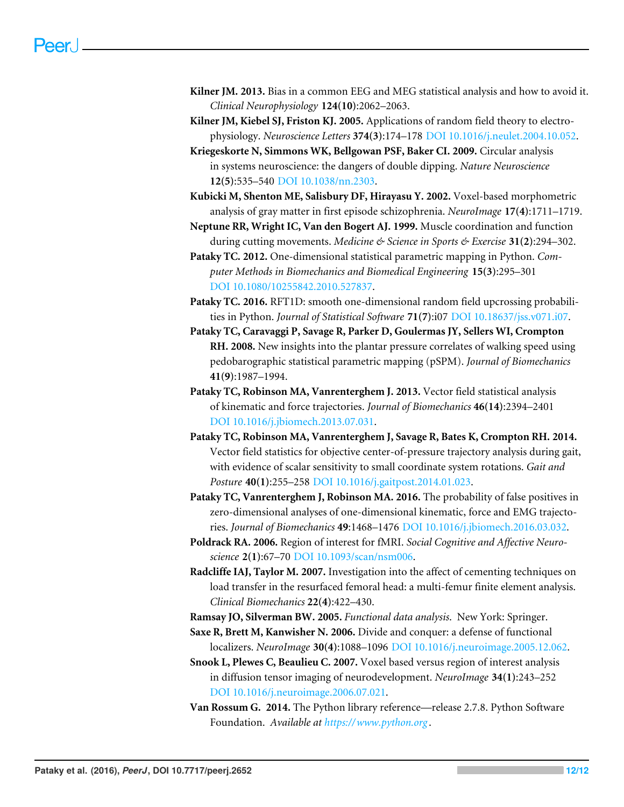- <span id="page-12-15"></span>**Kilner JM. 2013.** Bias in a common EEG and MEG statistical analysis and how to avoid it. *Clinical Neurophysiology* **124(10)**:2062–2063.
- <span id="page-12-4"></span>**Kilner JM, Kiebel SJ, Friston KJ. 2005.** Applications of random field theory to electrophysiology. *Neuroscience Letters* **374(3)**:174–178 [DOI 10.1016/j.neulet.2004.10.052.](http://dx.doi.org/10.1016/j.neulet.2004.10.052)
- <span id="page-12-16"></span>**Kriegeskorte N, Simmons WK, Bellgowan PSF, Baker CI. 2009.** Circular analysis in systems neuroscience: the dangers of double dipping. *Nature Neuroscience* **12(5)**:535–540 [DOI 10.1038/nn.2303.](http://dx.doi.org/10.1038/nn.2303)
- <span id="page-12-12"></span>**Kubicki M, Shenton ME, Salisbury DF, Hirayasu Y. 2002.** Voxel-based morphometric analysis of gray matter in first episode schizophrenia. *NeuroImage* **17(4)**:1711–1719.
- <span id="page-12-8"></span>**Neptune RR, Wright IC, Van den Bogert AJ. 1999.** Muscle coordination and function during cutting movements. *Medicine & Science in Sports & Exercise* **31(2)**:294–302.
- <span id="page-12-5"></span>**Pataky TC. 2012.** One-dimensional statistical parametric mapping in Python. *Computer Methods in Biomechanics and Biomedical Engineering* **15(3)**:295–301 [DOI 10.1080/10255842.2010.527837.](http://dx.doi.org/10.1080/10255842.2010.527837)
- <span id="page-12-3"></span>**Pataky TC. 2016.** RFT1D: smooth one-dimensional random field upcrossing probabilities in Python. *Journal of Statistical Software* **71(7)**:i07 [DOI 10.18637/jss.v071.i07.](http://dx.doi.org/10.18637/jss.v071.i07)
- <span id="page-12-9"></span>**Pataky TC, Caravaggi P, Savage R, Parker D, Goulermas JY, Sellers WI, Crompton RH. 2008.** New insights into the plantar pressure correlates of walking speed using pedobarographic statistical parametric mapping (pSPM). *Journal of Biomechanics* **41(9)**:1987–1994.
- <span id="page-12-2"></span>**Pataky TC, Robinson MA, Vanrenterghem J. 2013.** Vector field statistical analysis of kinematic and force trajectories. *Journal of Biomechanics* **46(14)**:2394–2401 [DOI 10.1016/j.jbiomech.2013.07.031.](http://dx.doi.org/10.1016/j.jbiomech.2013.07.031)
- <span id="page-12-11"></span>**Pataky TC, Robinson MA, Vanrenterghem J, Savage R, Bates K, Crompton RH. 2014.** Vector field statistics for objective center-of-pressure trajectory analysis during gait, with evidence of scalar sensitivity to small coordinate system rotations. *Gait and Posture* **40(1)**:255–258 [DOI 10.1016/j.gaitpost.2014.01.023.](http://dx.doi.org/10.1016/j.gaitpost.2014.01.023)
- <span id="page-12-7"></span>**Pataky TC, Vanrenterghem J, Robinson MA. 2016.** The probability of false positives in zero-dimensional analyses of one-dimensional kinematic, force and EMG trajectories. *Journal of Biomechanics* **49**:1468–1476 [DOI 10.1016/j.jbiomech.2016.03.032.](http://dx.doi.org/10.1016/j.jbiomech.2016.03.032)
- <span id="page-12-10"></span>**Poldrack RA. 2006.** Region of interest for fMRI. *Social Cognitive and Affective Neuroscience* **2(1)**:67–70 [DOI 10.1093/scan/nsm006.](http://dx.doi.org/10.1093/scan/nsm006)
- <span id="page-12-0"></span>**Radcliffe IAJ, Taylor M. 2007.** Investigation into the affect of cementing techniques on load transfer in the resurfaced femoral head: a multi-femur finite element analysis. *Clinical Biomechanics* **22(4)**:422–430.
- <span id="page-12-1"></span>**Ramsay JO, Silverman BW. 2005.** *Functional data analysis*. New York: Springer.
- <span id="page-12-13"></span>**Saxe R, Brett M, Kanwisher N. 2006.** Divide and conquer: a defense of functional localizers. *NeuroImage* **30(4)**:1088–1096 [DOI 10.1016/j.neuroimage.2005.12.062.](http://dx.doi.org/10.1016/j.neuroimage.2005.12.062)
- <span id="page-12-14"></span>**Snook L, Plewes C, Beaulieu C. 2007.** Voxel based versus region of interest analysis in diffusion tensor imaging of neurodevelopment. *NeuroImage* **34(1)**:243–252 [DOI 10.1016/j.neuroimage.2006.07.021.](http://dx.doi.org/10.1016/j.neuroimage.2006.07.021)
- <span id="page-12-6"></span>**Van Rossum G. 2014.** The Python library reference—release 2.7.8. Python Software Foundation. *Available at <https://www.python.org>* .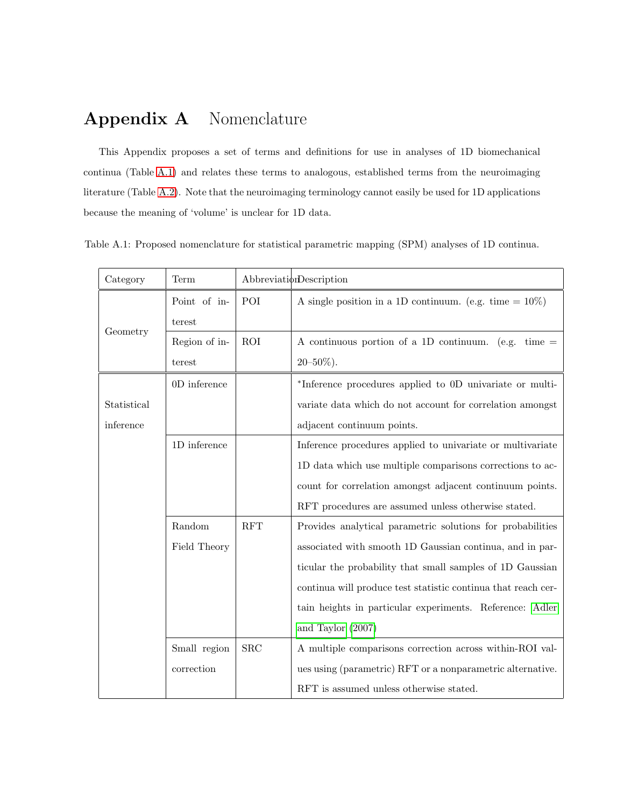# Appendix A Nomenclature

This Appendix proposes a set of terms and definitions for use in analyses of 1D biomechanical continua (Table [A.1\)](#page-13-0) and relates these terms to analogous, established terms from the neuroimaging literature (Table [A.2\)](#page-15-0). Note that the neuroimaging terminology cannot easily be used for 1D applications because the meaning of 'volume' is unclear for 1D data.

Table A.1: Proposed nomenclature for statistical parametric mapping (SPM) analyses of 1D continua.

<span id="page-13-0"></span>

| Category    | Term          |            | Abbreviation                                                  |
|-------------|---------------|------------|---------------------------------------------------------------|
| Geometry    | Point of in-  | POI        | A single position in a 1D continuum. (e.g. time $= 10\%$ )    |
|             | terest        |            |                                                               |
|             | Region of in- | <b>ROI</b> | A continuous portion of a 1D continuum. (e.g. time $=$        |
|             | terest        |            | $20 - 50\%$ ).                                                |
|             | 0D inference  |            | *Inference procedures applied to 0D univariate or multi-      |
| Statistical |               |            | variate data which do not account for correlation amongst     |
| inference   |               |            | adjacent continuum points.                                    |
|             | 1D inference  |            | Inference procedures applied to univariate or multivariate    |
|             |               |            | 1D data which use multiple comparisons corrections to ac-     |
|             |               |            | count for correlation amongst adjacent continuum points.      |
|             |               |            | RFT procedures are assumed unless otherwise stated.           |
|             | Random        | RFT        | Provides analytical parametric solutions for probabilities    |
|             | Field Theory  |            | associated with smooth 1D Gaussian continua, and in par-      |
|             |               |            | ticular the probability that small samples of 1D Gaussian     |
|             |               |            | continua will produce test statistic continua that reach cer- |
|             |               |            | tain heights in particular experiments. Reference: Adler      |
|             |               |            | and Taylor (2007)                                             |
|             | Small region  | SRC        | A multiple comparisons correction across within-ROI val-      |
|             | correction    |            | ues using (parametric) RFT or a nonparametric alternative.    |
|             |               |            | RFT is assumed unless otherwise stated.                       |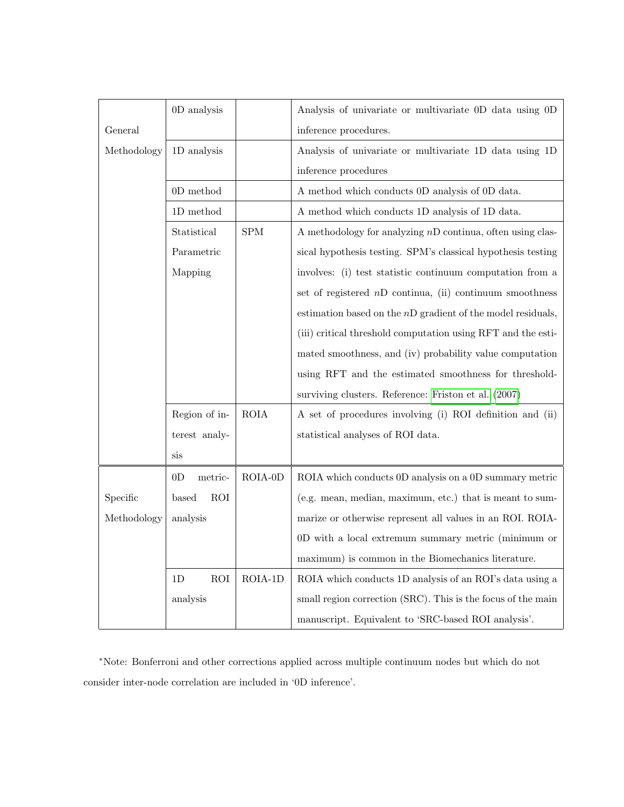|             | 0D analysis               |             | Analysis of univariate or multivariate 0D data using 0D       |
|-------------|---------------------------|-------------|---------------------------------------------------------------|
| General     |                           |             | inference procedures.                                         |
| Methodology | 1D analysis               |             | Analysis of univariate or multivariate 1D data using 1D       |
|             |                           |             | inference procedures                                          |
|             | $0D$ method               |             | A method which conducts 0D analysis of 0D data.               |
|             | $1D$ method               |             | A method which conducts 1D analysis of 1D data.               |
|             | Statistical               | ${\rm SPM}$ | A methodology for analyzing $nD$ continua, often using clas-  |
|             | Parametric                |             | sical hypothesis testing. SPM's classical hypothesis testing  |
|             | Mapping                   |             | involves: (i) test statistic continuum computation from a     |
|             |                           |             | set of registered $nD$ continua, (ii) continuum smoothness    |
|             |                           |             | estimation based on the $nD$ gradient of the model residuals, |
|             |                           |             | (iii) critical threshold computation using RFT and the esti-  |
|             |                           |             | mated smoothness, and (iv) probability value computation      |
|             |                           |             | using RFT and the estimated smoothness for threshold-         |
|             |                           |             | surviving clusters. Reference: Friston et al. (2007)          |
|             | Region of in-             | <b>ROIA</b> | A set of procedures involving (i) ROI definition and (ii)     |
|             | terest analy-             |             | statistical analyses of ROI data.                             |
|             | sis                       |             |                                                               |
|             | 0 <sub>D</sub><br>metric- | ROIA-0D     | ROIA which conducts 0D analysis on a 0D summary metric        |
| Specific    | based<br>ROI              |             | (e.g. mean, median, maximum, etc.) that is meant to sum-      |
| Methodology | analysis                  |             | marize or otherwise represent all values in an ROI. ROIA-     |
|             |                           |             | 0D with a local extremum summary metric (minimum or           |
|             |                           |             | maximum) is common in the Biomechanics literature.            |
|             | <b>ROI</b><br>1D          | ROIA-1D     | ROIA which conducts 1D analysis of an ROI's data using a      |
|             | analysis                  |             | small region correction (SRC). This is the focus of the main  |
|             |                           |             | manuscript. Equivalent to 'SRC-based ROI analysis'.           |

<sup>∗</sup>Note: Bonferroni and other corrections applied across multiple continuum nodes but which do not consider inter-node correlation are included in '0D inference'.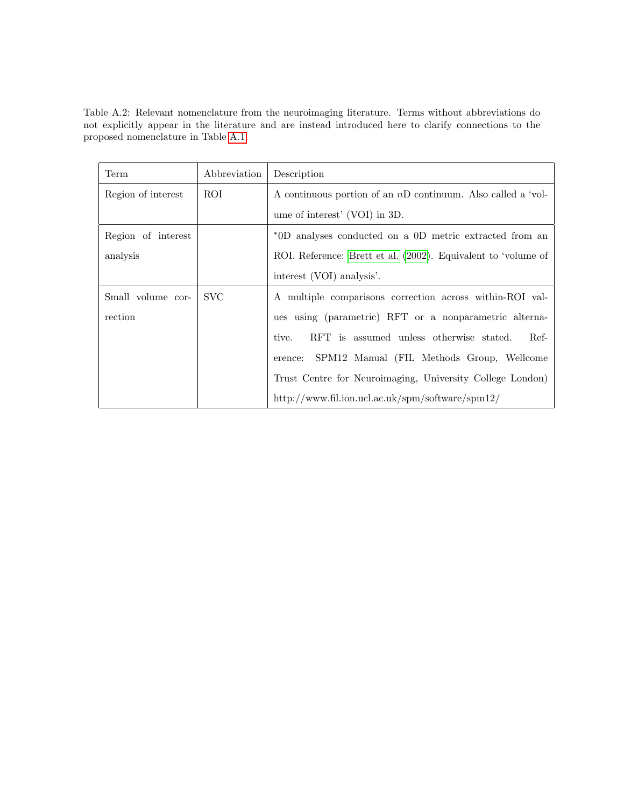<span id="page-15-0"></span>Table A.2: Relevant nomenclature from the neuroimaging literature. Terms without abbreviations do not explicitly appear in the literature and are instead introduced here to clarify connections to the proposed nomenclature in Table [A.1.](#page-13-0)

| Term               | Abbreviation | Description                                                    |
|--------------------|--------------|----------------------------------------------------------------|
| Region of interest | ROI          | A continuous portion of an $nD$ continuum. Also called a 'vol- |
|                    |              | ume of interest' (VOI) in 3D.                                  |
| Region of interest |              | *0D analyses conducted on a 0D metric extracted from an        |
| analysis           |              | ROI. Reference: Brett et al. (2002). Equivalent to 'volume of  |
|                    |              | interest (VOI) analysis'.                                      |
| Small volume cor-  | <b>SVC</b>   | A multiple comparisons correction across within-ROI val-       |
| rection            |              | ues using (parametric) RFT or a nonparametric alterna-         |
|                    |              | RFT is assumed unless otherwise stated.<br>Ref-<br>tive.       |
|                    |              | SPM12 Manual (FIL Methods Group, Wellcome<br>erence:           |
|                    |              | Trust Centre for Neuroimaging, University College London)      |
|                    |              | http://www.fil.ion.ucl.ac.uk/spm/software/spm12/               |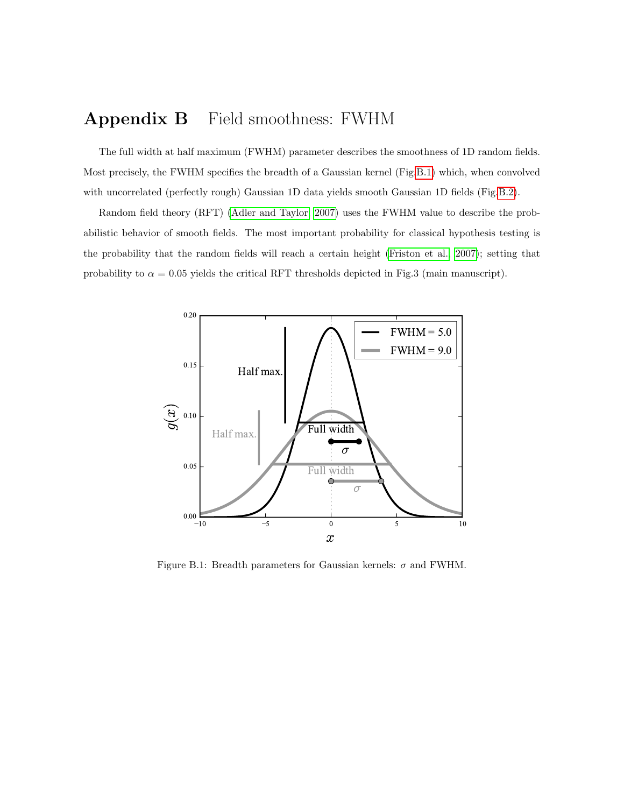# Appendix B Field smoothness: FWHM

The full width at half maximum (FWHM) parameter describes the smoothness of 1D random fields. Most precisely, the FWHM specifies the breadth of a Gaussian kernel (Fig[.B.1\)](#page-16-0) which, when convolved with uncorrelated (perfectly rough) Gaussian 1D data yields smooth Gaussian 1D fields (Fig[.B.2\)](#page-17-0).

Random field theory (RFT) [\(Adler and Taylor, 2007\)](#page-27-0) uses the FWHM value to describe the probabilistic behavior of smooth fields. The most important probability for classical hypothesis testing is the probability that the random fields will reach a certain height [\(Friston et al., 2007\)](#page-27-1); setting that probability to  $\alpha = 0.05$  yields the critical RFT thresholds depicted in Fig.3 (main manuscript).



<span id="page-16-0"></span>Figure B.1: Breadth parameters for Gaussian kernels:  $\sigma$  and FWHM.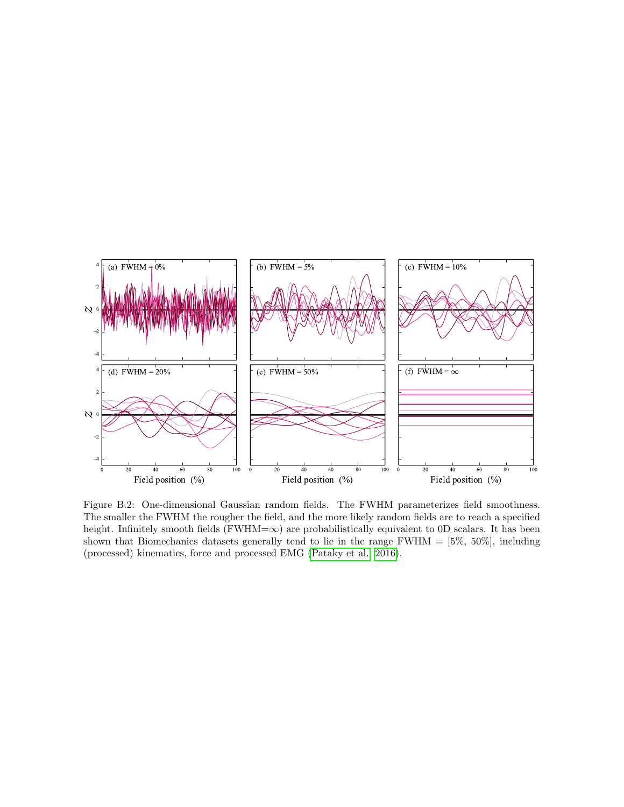

<span id="page-17-0"></span>Figure B.2: One-dimensional Gaussian random fields. The FWHM parameterizes field smoothness. The smaller the FWHM the rougher the field, and the more likely random fields are to reach a specified height. Infinitely smooth fields ( $FWHM=\infty$ ) are probabilistically equivalent to 0D scalars. It has been shown that Biomechanics datasets generally tend to lie in the range  $FWHM = [5\%, 50\%]$ , including (processed) kinematics, force and processed EMG [\(Pataky et al., 2016\)](#page-27-3).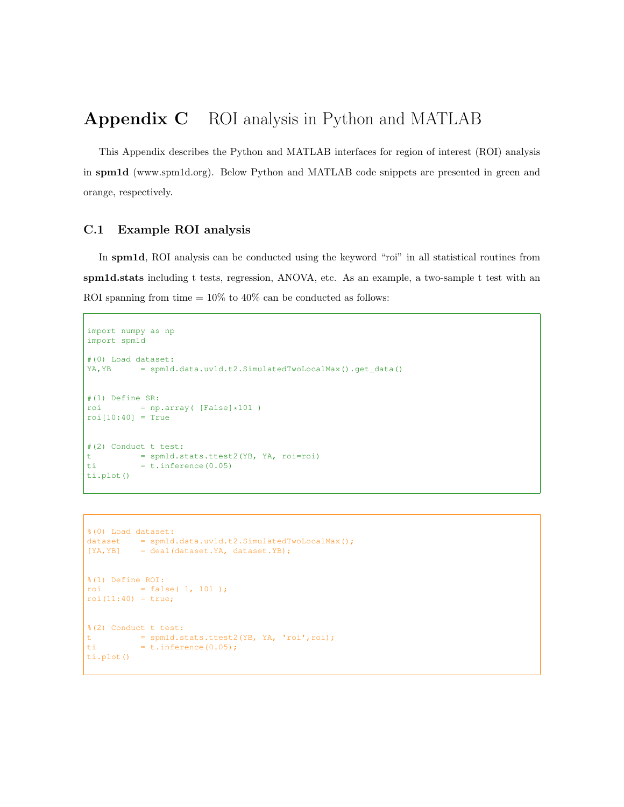# Appendix C ROI analysis in Python and MATLAB

This Appendix describes the Python and MATLAB interfaces for region of interest (ROI) analysis in spm1d (www.spm1d.org). Below Python and MATLAB code snippets are presented in green and orange, respectively.

#### C.1 Example ROI analysis

In spm1d, ROI analysis can be conducted using the keyword "roi" in all statistical routines from spm1d.stats including t tests, regression, ANOVA, etc. As an example, a two-sample t test with an ROI spanning from time  $= 10\%$  to 40% can be conducted as follows:

```
import numpy as np
import spm1d
#(0) Load dataset:
YA, YB = spm1d.data.uv1d.t2.SimulatedTwoLocalMax().get data()
#(1) Define SR:
roi = np.array([False]*101)
roif10:40] = True#(2) Conduct t test:
t = spm1d.stats.ttest2(YB, YA, roi=roi)
ti = t.inference(0.05)ti.plot()
```

```
%(0) Load dataset:
dataset = spmld.data.uv1d.t2.SimulatedTwoLocalMax();
[YA, YB] = deal(dataset.YA, dataset.YB);
%(1) Define ROI:
roi = false( 1, 101 );
\text{roi}(11:40) = \text{true};
%(2) Conduct t test:
t = spm1d.stats.ttest2(YB, YA, 'roi',roi);
ti = t.inference(0.05);
ti.plot()
```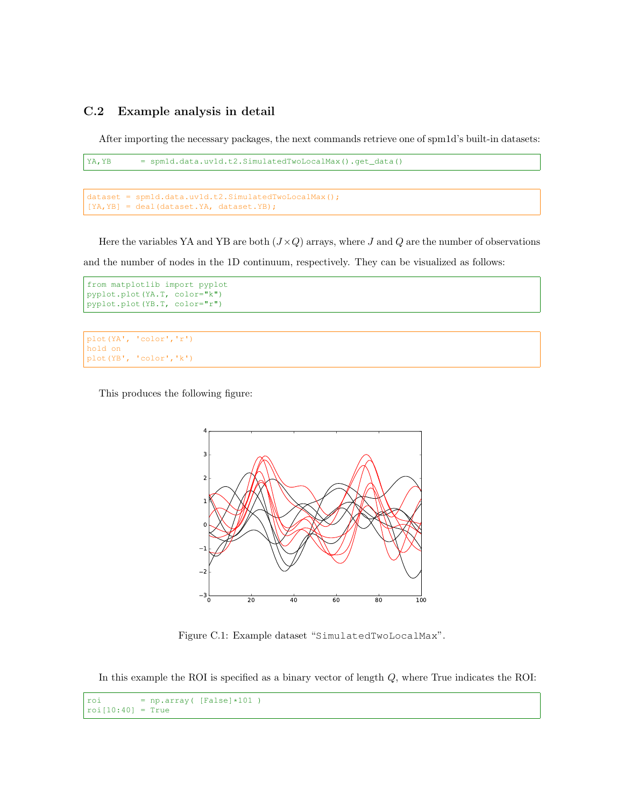#### C.2 Example analysis in detail

After importing the necessary packages, the next commands retrieve one of spm1d's built-in datasets:

```
YA,YB = spm1d.data.uv1d.t2.SimulatedTwoLocalMax().get_data()
```

```
dataset = spm1d.data.uv1d.t2.SimulatedTwoLocalMax();
[YA,YB] = deal(dataset.YA, dataset.YB);
```
Here the variables YA and YB are both  $(J \times Q)$  arrays, where J and Q are the number of observations and the number of nodes in the 1D continuum, respectively. They can be visualized as follows:

```
from matplotlib import pyplot
pyplot.plot(YA.T, color="k")
pyplot.plot(YB.T, color="r")
```

```
plot(YA', 'color','r')
hold on
plot(YB', 'color','k')
```
This produces the following figure:



Figure C.1: Example dataset "SimulatedTwoLocalMax".

In this example the ROI is specified as a binary vector of length  $Q$ , where True indicates the ROI:

```
\text{roi} = \text{np.array} ( [False] * 101 )roi[10:40] = True
```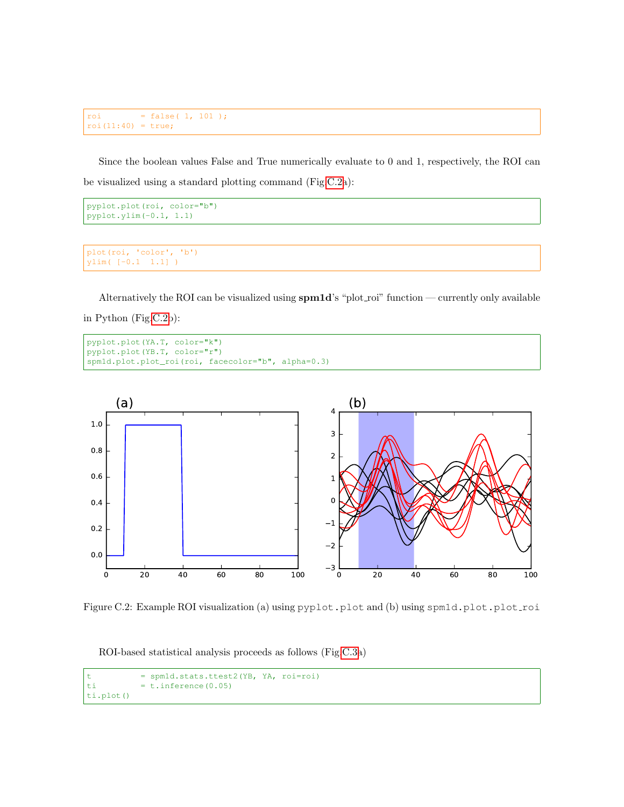```
roi = false( 1, 101 );
roi(11:40) = true;
```
Since the boolean values False and True numerically evaluate to 0 and 1, respectively, the ROI can be visualized using a standard plotting command (Fig[.C.2a](#page-17-0)):

```
pyplot.plot(roi, color="b")
pyplot.ylim(-0.1, 1.1)
```

```
plot(roi, 'color', 'b')
ylim( [-0.1 1.1] )
```
Alternatively the ROI can be visualized using spm1d's "plot roi" function — currently only available in Python (Fig[.C.2b](#page-17-0)):

```
pyplot.plot(YA.T, color="k")
pyplot.plot(YB.T, color="r")
spm1d.plot.plot_roi(roi, facecolor="b", alpha=0.3)
```


Figure C.2: Example ROI visualization (a) using pyplot.plot and (b) using spm1d.plot.plot.roi

ROI-based statistical analysis proceeds as follows (Fig[.C.3a](#page-21-0))

```
t = spm1d.stats.ttest2(YB, YA, roi=roi)
ti = t.inference(0.05)ti.plot()
```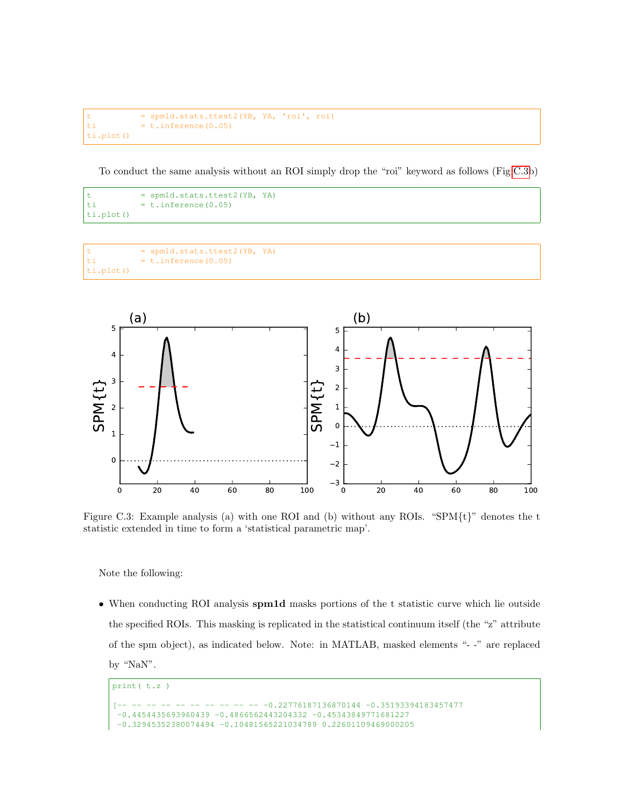```
t = spm1d.stats.ttest2(YB, YA, 'roi', roi)
ti = t.inference(0.05)ti.plot()
```
To conduct the same analysis without an ROI simply drop the "roi" keyword as follows (Fig[.C.3b](#page-21-0))

```
t = spm1d.stats.ttest2(YB, YA)
ti = t.inference(0.05)ti.plot()
```

```
t = spm1d.stats.ttest2(YB, YA)
ti = t.inference(0.05)ti.plot()
```


<span id="page-21-0"></span>Figure C.3: Example analysis (a) with one ROI and (b) without any ROIs. "SPM{t}" denotes the t statistic extended in time to form a 'statistical parametric map'.

Note the following:

• When conducting ROI analysis spm1d masks portions of the t statistic curve which lie outside the specified ROIs. This masking is replicated in the statistical continuum itself (the "z" attribute of the spm object), as indicated below. Note: in MATLAB, masked elements "- -" are replaced by "NaN".

```
print( t.z )
[-- -- -- -- -- -- -- -- -- -- -0.22776187136870144 -0.35193394183457477
-0.4454435693960439 -0.4866562443204332 -0.45343849771681227
-0.32945352380074494 -0.10481565221034789 0.22601109469000205
```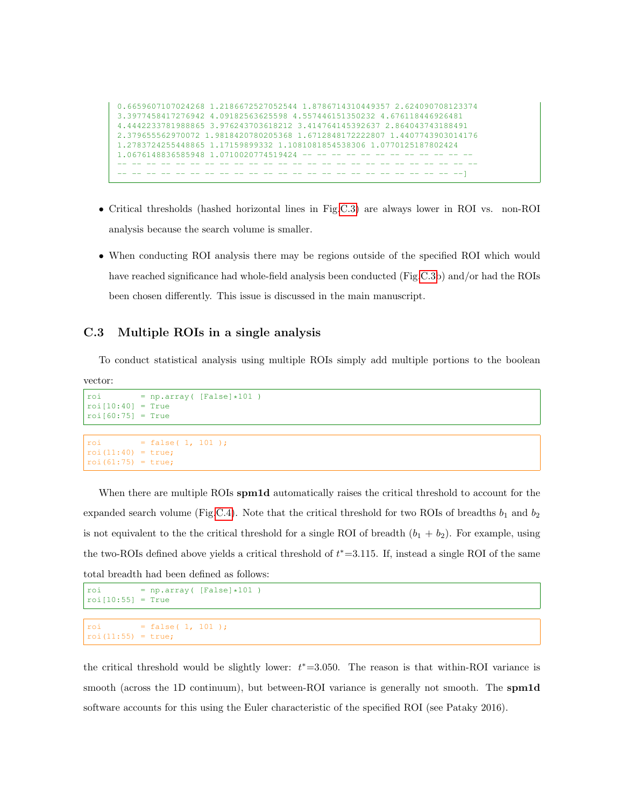```
0.6659607107024268 1.2186672527052544 1.8786714310449357 2.624090708123374
3.3977458417276942 4.09182563625598 4.557446151350232 4.676118446926481
4.4442233781988865 3.976243703618212 3.414764145392637 2.864043743188491
2.379655562970072 1.9818420780205368 1.6712848172222807 1.4407743903014176
1.2783724255448865 1.17159899332 1.1081081854538306 1.0770125187802424
1.0676148836585948 1.0710020774519424 -- -- -- -- -- -- -- --
-- -- -- -- -- -- -- -- -- -- -- -- -- -- -- -- -- -- -- -- -- -- -- -- --
      -- -- -- -- -- -- -- -- -- -- -- -- -- -- -- -- -- -- -- -- -- -- -- --]
```
- Critical thresholds (hashed horizontal lines in Fig[.C.3\)](#page-21-0) are always lower in ROI vs. non-ROI analysis because the search volume is smaller.
- When conducting ROI analysis there may be regions outside of the specified ROI which would have reached significance had whole-field analysis been conducted (Fig[.C.3b](#page-21-0)) and/or had the ROIs been chosen differently. This issue is discussed in the main manuscript.

#### C.3 Multiple ROIs in a single analysis

To conduct statistical analysis using multiple ROIs simply add multiple portions to the boolean

vector:

```
roi = np.array([False]*101)
roi[10:40] = Trueroi[60:75] = True
```

```
roi = false( 1, 101 );
\text{roi}(11:40) = \text{true};
roi(61:75) = true;
```
When there are multiple ROIs spm1d automatically raises the critical threshold to account for the expanded search volume (Fig[.C.4\)](#page-23-0). Note that the critical threshold for two ROIs of breadths  $b_1$  and  $b_2$ is not equivalent to the the critical threshold for a single ROI of breadth  $(b_1 + b_2)$ . For example, using the two-ROIs defined above yields a critical threshold of  $t^* = 3.115$ . If, instead a single ROI of the same total breadth had been defined as follows:

```
roi = np.array([False]*101roi[10:55] = True
```

```
roi = false( 1, 101 );
roi(11:55) = true;
```
the critical threshold would be slightly lower:  $t^*=3.050$ . The reason is that within-ROI variance is smooth (across the 1D continuum), but between-ROI variance is generally not smooth. The **spm1d** software accounts for this using the Euler characteristic of the specified ROI (see Pataky 2016).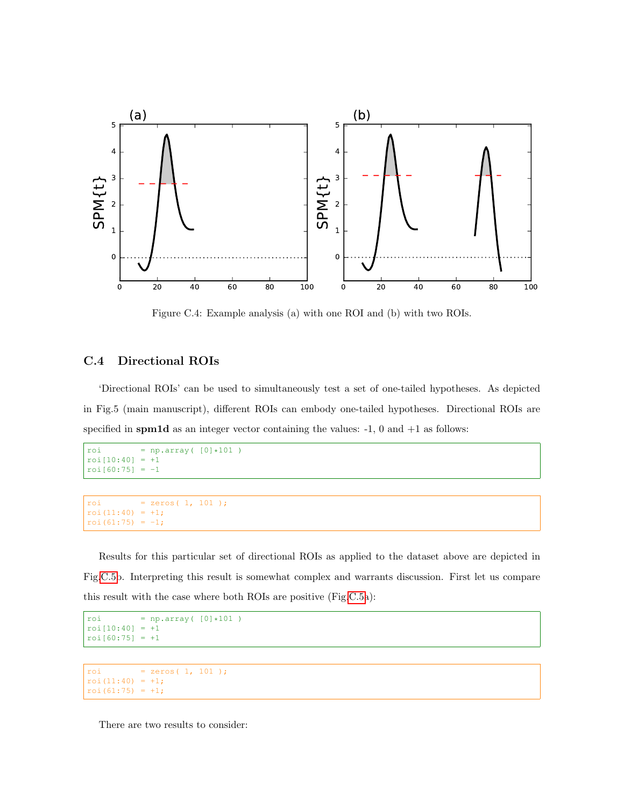

<span id="page-23-0"></span>Figure C.4: Example analysis (a) with one ROI and (b) with two ROIs.

#### C.4 Directional ROIs

'Directional ROIs' can be used to simultaneously test a set of one-tailed hypotheses. As depicted in Fig.5 (main manuscript), different ROIs can embody one-tailed hypotheses. Directional ROIs are specified in spm1d as an integer vector containing the values:  $-1$ , 0 and  $+1$  as follows:

```
roi = np.array([0]*101)
roi[10:40] = +1roi[60:75] = -1
```

```
roi = zeros(1, 101);
roi(11:40) = +1;roi(61:75) = -1;
```
Results for this particular set of directional ROIs as applied to the dataset above are depicted in Fig[.C.5b](#page-24-0). Interpreting this result is somewhat complex and warrants discussion. First let us compare this result with the case where both ROIs are positive (Fig[.C.5a](#page-24-0)):

```
roi = np.array([0]*101)
roi[10:40] = +1roi[60:75] = +1
```

```
roi = zeros( 1, 101 );
\text{roi}(11:40) = +1;roi(61:75) = +1;
```
There are two results to consider: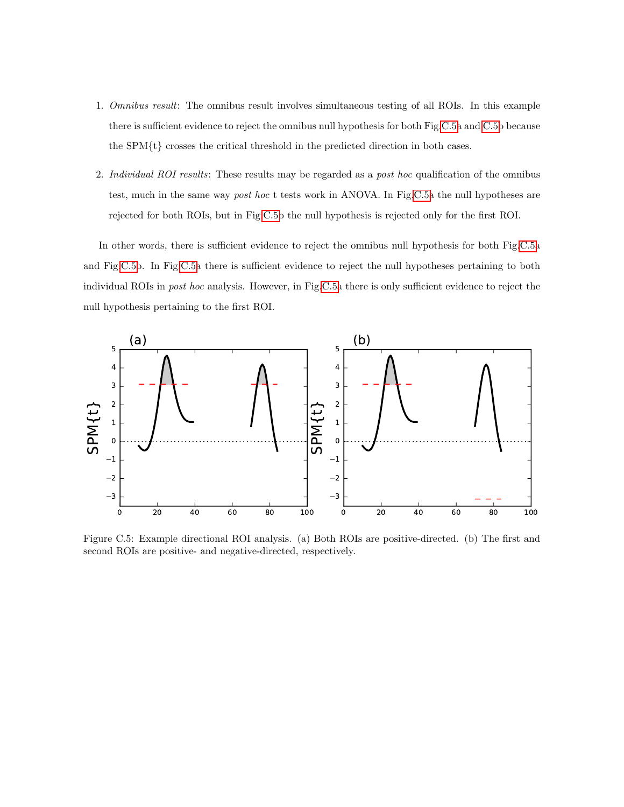- 1. Omnibus result: The omnibus result involves simultaneous testing of all ROIs. In this example there is sufficient evidence to reject the omnibus null hypothesis for both Fig[.C.5a](#page-24-0) and [C.5b](#page-24-0) because the SPM{t} crosses the critical threshold in the predicted direction in both cases.
- 2. Individual ROI results: These results may be regarded as a post hoc qualification of the omnibus test, much in the same way *post hoc* t tests work in ANOVA. In Fig[.C.5a](#page-24-0) the null hypotheses are rejected for both ROIs, but in Fig[.C.5b](#page-24-0) the null hypothesis is rejected only for the first ROI.

In other words, there is sufficient evidence to reject the omnibus null hypothesis for both Fig[.C.5a](#page-24-0) and Fig[.C.5b](#page-24-0). In Fig[.C.5a](#page-24-0) there is sufficient evidence to reject the null hypotheses pertaining to both individual ROIs in post hoc analysis. However, in Fig[.C.5a](#page-24-0) there is only sufficient evidence to reject the null hypothesis pertaining to the first ROI.



<span id="page-24-0"></span>Figure C.5: Example directional ROI analysis. (a) Both ROIs are positive-directed. (b) The first and second ROIs are positive- and negative-directed, respectively.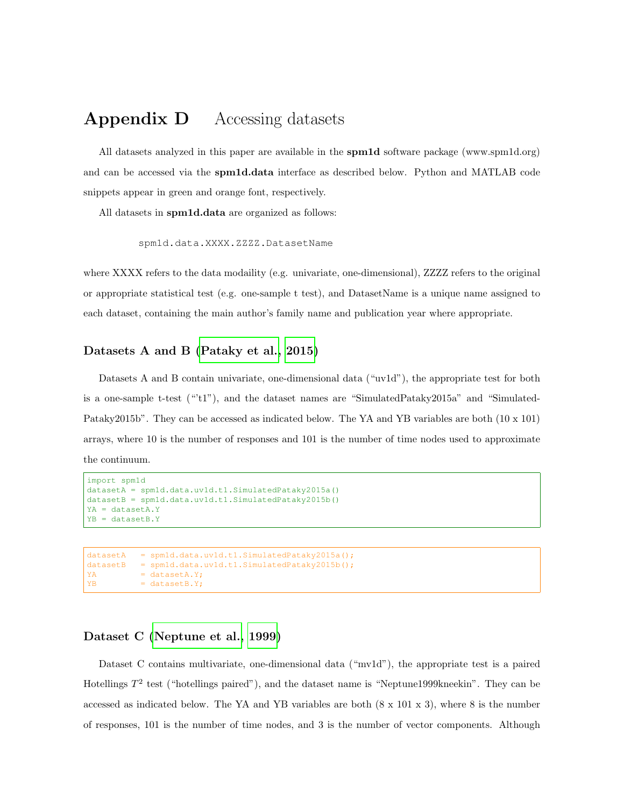# Appendix D Accessing datasets

All datasets analyzed in this paper are available in the spm1d software package (www.spm1d.org) and can be accessed via the spm1d.data interface as described below. Python and MATLAB code snippets appear in green and orange font, respectively.

All datasets in spm1d.data are organized as follows:

```
spm1d.data.XXXX.ZZZZ.DatasetName
```
where XXXX refers to the data modaility (e.g. univariate, one-dimensional), ZZZZ refers to the original or appropriate statistical test (e.g. one-sample t test), and DatasetName is a unique name assigned to each dataset, containing the main author's family name and publication year where appropriate.

#### Datasets A and B [\(Pataky et al., 2015\)](#page-27-4)

Datasets A and B contain univariate, one-dimensional data ("uv1d"), the appropriate test for both is a one-sample t-test  $("t1")$ , and the dataset names are "SimulatedPataky2015a" and "Simulated-Pataky2015b". They can be accessed as indicated below. The YA and YB variables are both (10 x 101) arrays, where 10 is the number of responses and 101 is the number of time nodes used to approximate the continuum.

```
import spm1d
datasetA = spm1d.data.uv1d.t1.SimulatedPataky2015a()
datasetB = spm1d.data.uv1d.t1.SimulatedPataky2015b()
YA = datasetA.Y
YB = datasetB.Y
```

```
datasetA = spm1d.data.uv1d.t1.SimulatedPataky2015a();
datasetB = spm1d.data.uv1d.t1.SimulatedPataky2015b();
YA = datasetA.Y;
YB = datasetB.Y;
```
#### Dataset C [\(Neptune et al., 1999\)](#page-27-5)

Dataset C contains multivariate, one-dimensional data ("mv1d"), the appropriate test is a paired Hotellings  $T^2$  test ("hotellings paired"), and the dataset name is "Neptune1999kneekin". They can be accessed as indicated below. The YA and YB variables are both (8 x 101 x 3), where 8 is the number of responses, 101 is the number of time nodes, and 3 is the number of vector components. Although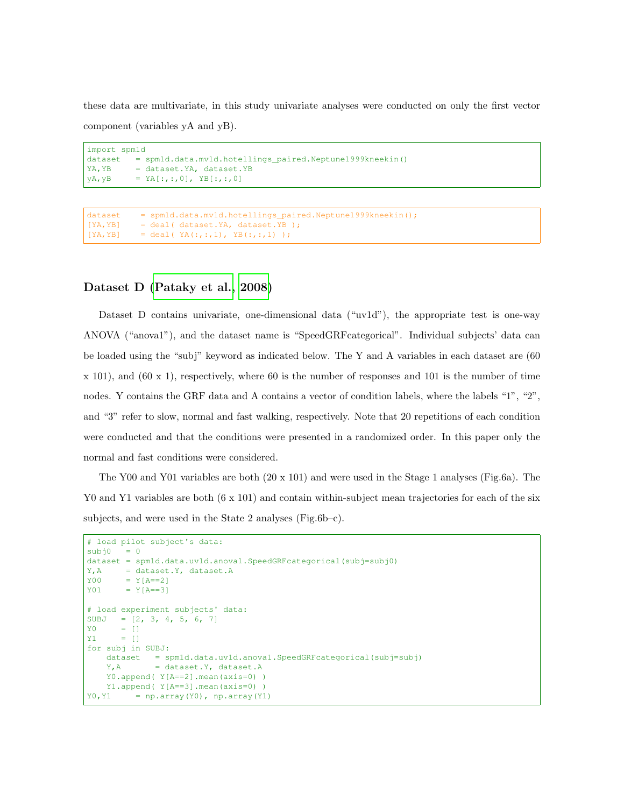these data are multivariate, in this study univariate analyses were conducted on only the first vector component (variables yA and yB).

```
import spm1d
dataset = spm1d.data.mv1d.hotellings_paired.Neptune1999kneekin()
YA, YB = dataset.YA, dataset.YB
yA, yB = YA[:, :, 0], YB[:, :, 0]
```

```
dataset = spmld.data.mv1d.hotelling_s-paired.Neptune1999kneekin();
[YA,YB] = deal( dataset.YA, dataset.YB );
[YA, YB] = \text{deal}(YA(:,:,1), YB(:,:,1))
```
#### Dataset D [\(Pataky et al., 2008\)](#page-27-6)

Dataset D contains univariate, one-dimensional data ("uv1d"), the appropriate test is one-way ANOVA ("anova1"), and the dataset name is "SpeedGRFcategorical". Individual subjects' data can be loaded using the "subj" keyword as indicated below. The Y and A variables in each dataset are (60  $x$  101), and (60 x 1), respectively, where 60 is the number of responses and 101 is the number of time nodes. Y contains the GRF data and A contains a vector of condition labels, where the labels "1", "2", and "3" refer to slow, normal and fast walking, respectively. Note that 20 repetitions of each condition were conducted and that the conditions were presented in a randomized order. In this paper only the normal and fast conditions were considered.

The Y00 and Y01 variables are both  $(20 \times 101)$  and were used in the Stage 1 analyses (Fig.6a). The Y0 and Y1 variables are both (6 x 101) and contain within-subject mean trajectories for each of the six subjects, and were used in the State 2 analyses (Fig.6b–c).

```
# load pilot subject's data:
subj0 = 0dataset = spm1d.data.uv1d.anova1.SpeedGRFcategorical(subj=subj0)
Y, A = dataset.Y, dataset.A
Y00 = Y[A == 2]Y01 = Y[A == 3]# load experiment subjects' data:
SUBJ = [2, 3, 4, 5, 6, 7]Y0 = []
Y1 = []
for subj in SUBJ:
   dataset = spm1d.data.uv1d.anova1.SpeedGRFcategorical(subj=subj)
   Y, A = dataset.Y, dataset.A
   Y0.append( Y[A==2].mean(axis=0) )
   Y1.append( Y[A==3].mean(axis=0) )
Y0, Y1 = np.array(Y0), np.array(Y1)
```